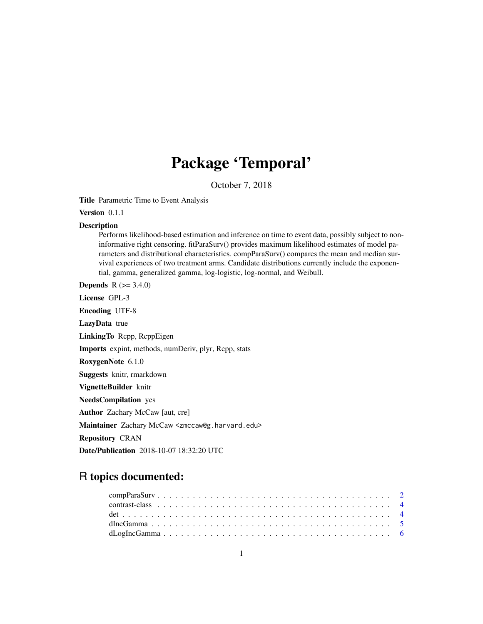## Package 'Temporal'

October 7, 2018

Title Parametric Time to Event Analysis

Version 0.1.1

### Description

Performs likelihood-based estimation and inference on time to event data, possibly subject to noninformative right censoring. fitParaSurv() provides maximum likelihood estimates of model parameters and distributional characteristics. compParaSurv() compares the mean and median survival experiences of two treatment arms. Candidate distributions currently include the exponential, gamma, generalized gamma, log-logistic, log-normal, and Weibull.

**Depends** R  $(>= 3.4.0)$ License GPL-3 Encoding UTF-8 LazyData true LinkingTo Rcpp, RcppEigen Imports expint, methods, numDeriv, plyr, Rcpp, stats RoxygenNote 6.1.0 Suggests knitr, rmarkdown VignetteBuilder knitr NeedsCompilation yes Author Zachary McCaw [aut, cre] Maintainer Zachary McCaw <zmccaw@g.harvard.edu> Repository CRAN

Date/Publication 2018-10-07 18:32:20 UTC

## R topics documented: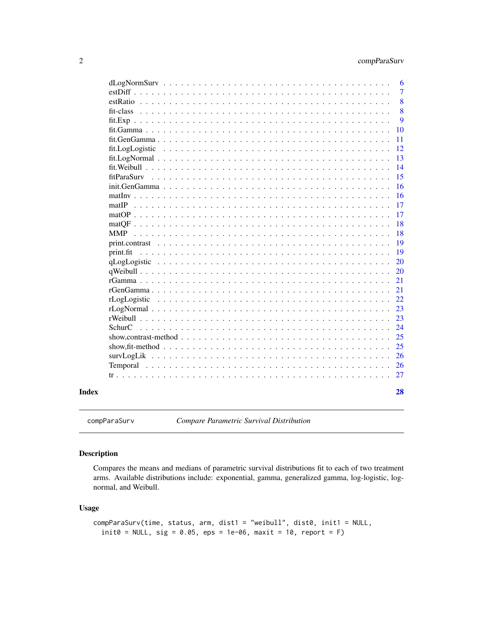### <span id="page-1-0"></span>2 compParaSurv

|       |                                                                                                               | 6  |
|-------|---------------------------------------------------------------------------------------------------------------|----|
|       | $estDiff$ , , , , , , ,                                                                                       | 7  |
|       | $estRatio$                                                                                                    | 8  |
|       | fit-class                                                                                                     | 8  |
|       |                                                                                                               | 9  |
|       | fit.Gamma                                                                                                     | 10 |
|       | fit.GenGamma<br>$\sim$                                                                                        | 11 |
|       | fit.LogLogistic                                                                                               | 12 |
|       |                                                                                                               | 13 |
|       |                                                                                                               | 14 |
|       | fitParaSurv                                                                                                   | 15 |
|       | init.GenGamma                                                                                                 | 16 |
|       | math>                                                                                                         | 16 |
|       | matIP<br>$\mathbf{r}$ and $\mathbf{r}$ and $\mathbf{r}$                                                       | 17 |
|       | $matOP \dots \dots$                                                                                           | 17 |
|       |                                                                                                               | 18 |
|       | <b>MMP</b>                                                                                                    | 18 |
|       | $print. contrast$                                                                                             | 19 |
|       | print.fit<br>$\cdots$                                                                                         | 19 |
|       |                                                                                                               | 20 |
|       |                                                                                                               | 20 |
|       |                                                                                                               | 21 |
|       |                                                                                                               | 21 |
|       |                                                                                                               | 22 |
|       |                                                                                                               | 23 |
|       | rWeibull.                                                                                                     | 23 |
|       | <b>SchurC</b><br>$\mathbf{r}$ , and $\mathbf{r}$ , and $\mathbf{r}$ , and $\mathbf{r}$                        | 24 |
|       | show, contrast-method $\ldots$ , $\ldots$ , $\ldots$ , $\ldots$ , $\ldots$ , $\ldots$ , $\ldots$              | 25 |
|       | show, fit-method $\ldots \ldots \ldots \ldots \ldots \ldots \ldots \ldots \ldots \ldots \ldots \ldots \ldots$ | 25 |
|       | survLogLik                                                                                                    | 26 |
|       |                                                                                                               | 26 |
|       |                                                                                                               | 27 |
| Index |                                                                                                               | 28 |

<span id="page-1-1"></span>compParaSurv *Compare Parametric Survival Distribution*

### Description

Compares the means and medians of parametric survival distributions fit to each of two treatment arms. Available distributions include: exponential, gamma, generalized gamma, log-logistic, lognormal, and Weibull.

#### Usage

```
compParaSurv(time, status, arm, dist1 = "weibull", dist0, init1 = NULL,
 init0 = NULL, sig = 0.05, eps = 1e-06, maxit = 10, report = F)
```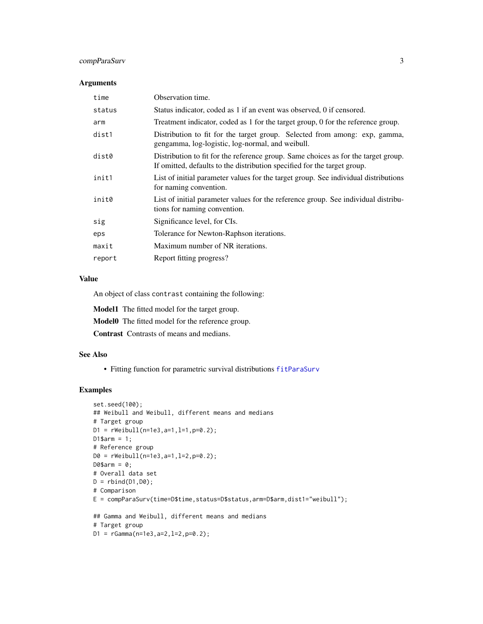### <span id="page-2-0"></span>compParaSurv 3

#### Arguments

| Observation time.                                                                                                                                              |
|----------------------------------------------------------------------------------------------------------------------------------------------------------------|
| Status indicator, coded as 1 if an event was observed, 0 if censored.                                                                                          |
| Treatment indicator, coded as 1 for the target group, 0 for the reference group.                                                                               |
| Distribution to fit for the target group. Selected from among: exp, gamma,<br>gengamma, log-logistic, log-normal, and weibull.                                 |
| Distribution to fit for the reference group. Same choices as for the target group.<br>If omitted, defaults to the distribution specified for the target group. |
| List of initial parameter values for the target group. See individual distributions<br>for naming convention.                                                  |
| List of initial parameter values for the reference group. See individual distribu-<br>tions for naming convention.                                             |
| Significance level, for CIs.                                                                                                                                   |
| Tolerance for Newton-Raphson iterations.                                                                                                                       |
| Maximum number of NR iterations.                                                                                                                               |
| Report fitting progress?                                                                                                                                       |
|                                                                                                                                                                |

#### Value

An object of class contrast containing the following:

Model1 The fitted model for the target group.

Model0 The fitted model for the reference group.

Contrast Contrasts of means and medians.

### See Also

• Fitting function for parametric survival distributions [fitParaSurv](#page-14-1)

```
set.seed(100);
## Weibull and Weibull, different means and medians
# Target group
D1 = rWeibull(n=1e3, a=1, l=1, p=0.2);D1$arm = 1;# Reference group
D0 = rWeibull(n=1e3,a=1,l=2,p=0.2);
D@5arm = 0;# Overall data set
D = \text{rbind}(D1, D0);# Comparison
E = compParaSurv(time=D$time,status=D$status,arm=D$arm,dist1="weibull");
## Gamma and Weibull, different means and medians
# Target group
D1 = rGamma(n=1e3, a=2, l=2, p=0.2);
```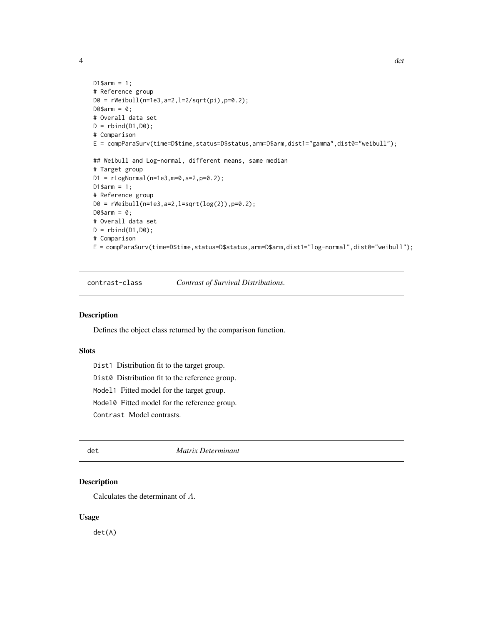<span id="page-3-0"></span>

```
D1$arm = 1;
# Reference group
D0 = rWeibull(n=1e3,a=2,l=2/sqrt(pi),p=0.2);
D@5arm = 0;# Overall data set
D = rbind(D1, D0);
# Comparison
E = compParaSurv(time=D$time,status=D$status,arm=D$arm,dist1="gamma",dist0="weibull");
## Weibull and Log-normal, different means, same median
# Target group
D1 = rLogNormal(n=1e3,m=0,s=2,p=0.2);
D1$arm = 1;# Reference group
D0 = rWeibull(n=1e3,a=2,l=sqrt(log(2)),p=0.2);
D@5arm = 0;# Overall data set
D = \text{rbind}(D1, D0);# Comparison
```
E = compParaSurv(time=D\$time,status=D\$status,arm=D\$arm,dist1="log-normal",dist0="weibull");

contrast-class *Contrast of Survival Distributions.*

#### Description

Defines the object class returned by the comparison function.

### Slots

Dist1 Distribution fit to the target group.

Dist0 Distribution fit to the reference group.

Model1 Fitted model for the target group.

Model0 Fitted model for the reference group.

Contrast Model contrasts.

#### det *Matrix Determinant*

### Description

Calculates the determinant of A.

#### Usage

det(A)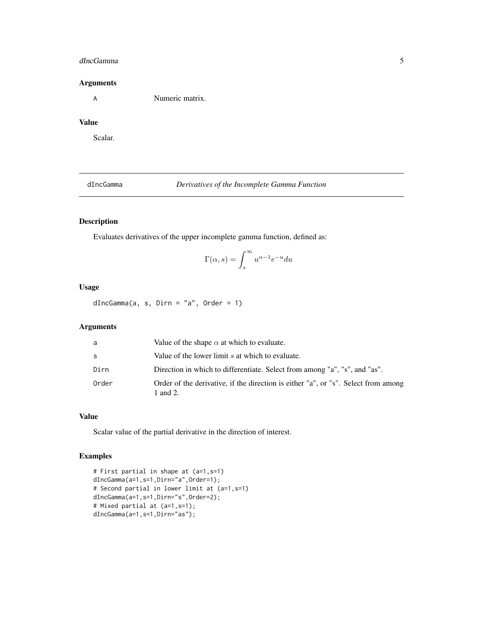#### <span id="page-4-0"></span>dIncGamma 5

#### Arguments

A Numeric matrix.

### Value

Scalar.

dIncGamma *Derivatives of the Incomplete Gamma Function*

### Description

Evaluates derivatives of the upper incomplete gamma function, defined as:

$$
\Gamma(\alpha,s)=\int_s^\infty u^{\alpha-1}e^{-u}du
$$

### Usage

dIncGamma(a, s, Dirn = "a", Order = 1)

### Arguments

| a            | Value of the shape $\alpha$ at which to evaluate.                                              |
|--------------|------------------------------------------------------------------------------------------------|
| <sub>S</sub> | Value of the lower limit s at which to evaluate.                                               |
| Dirn         | Direction in which to differentiate. Select from among "a", "s", and "as".                     |
| Order        | Order of the derivative, if the direction is either "a", or "s". Select from among<br>1 and 2. |

#### Value

Scalar value of the partial derivative in the direction of interest.

```
# First partial in shape at (a=1,s=1)
dIncGamma(a=1,s=1,Dirn="a",Order=1);
# Second partial in lower limit at (a=1,s=1)
dIncGamma(a=1,s=1,Dirn="s",Order=2);
# Mixed partial at (a=1,s=1);
dIncGamma(a=1,s=1,Dirn="as");
```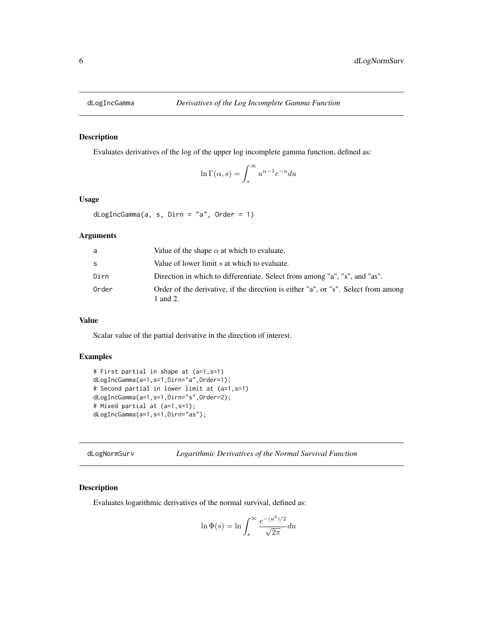<span id="page-5-0"></span>

Evaluates derivatives of the log of the upper log incomplete gamma function, defined as:

$$
\ln\Gamma(\alpha,s)=\int_s^\infty u^{\alpha-1}e^{-u}du
$$

### Usage

dLogIncGamma(a, s, Dirn = "a", Order = 1)

#### Arguments

| a     | Value of the shape $\alpha$ at which to evaluate.                                              |
|-------|------------------------------------------------------------------------------------------------|
| S.    | Value of lower limit s at which to evaluate.                                                   |
| Dirn  | Direction in which to differentiate. Select from among "a", "s", and "as".                     |
| Order | Order of the derivative, if the direction is either "a", or "s". Select from among<br>1 and 2. |

#### Value

Scalar value of the partial derivative in the direction of interest.

#### Examples

```
# First partial in shape at (a=1,s=1)
dLogIncGamma(a=1,s=1,Dirn="a",Order=1);
# Second partial in lower limit at (a=1,s=1)
dLogIncGamma(a=1,s=1,Dirn="s",Order=2);
# Mixed partial at (a=1,s=1);
dLogIncGamma(a=1,s=1,Dirn="as");
```
dLogNormSurv *Logarithmic Derivatives of the Normal Survival Function*

#### Description

Evaluates logarithmic derivatives of the normal survival, defined as:

$$
\ln \Phi(s) = \ln \int_s^\infty \frac{e^{-(u^2)/2}}{\sqrt{2\pi}} du
$$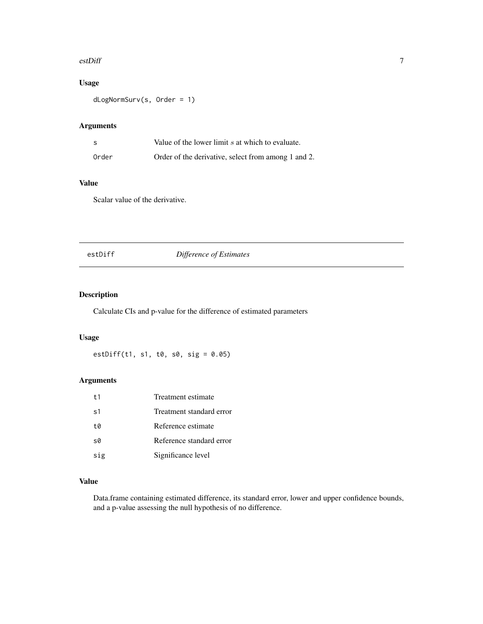#### <span id="page-6-0"></span>estDiff 7

### Usage

dLogNormSurv(s, Order = 1)

### Arguments

| -S    | Value of the lower limit s at which to evaluate.    |
|-------|-----------------------------------------------------|
| Order | Order of the derivative, select from among 1 and 2. |

### Value

Scalar value of the derivative.

### estDiff *Difference of Estimates*

### Description

Calculate CIs and p-value for the difference of estimated parameters

### Usage

estDiff(t1, s1, t0, s0, sig = 0.05)

### Arguments

| t <sub>1</sub> | Treatment estimate       |
|----------------|--------------------------|
| s <sub>1</sub> | Treatment standard error |
| t0             | Reference estimate       |
| s0             | Reference standard error |
| sig            | Significance level       |

### Value

Data.frame containing estimated difference, its standard error, lower and upper confidence bounds, and a p-value assessing the null hypothesis of no difference.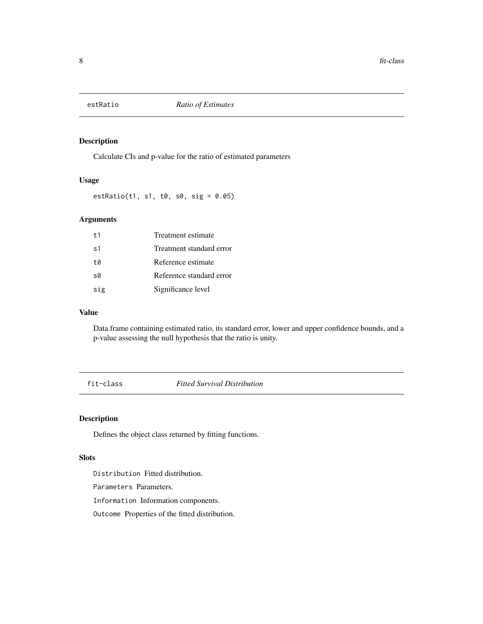<span id="page-7-0"></span>

Calculate CIs and p-value for the ratio of estimated parameters

#### Usage

estRatio(t1, s1, t0, s0, sig = 0.05)

### Arguments

| $+1$           | Treatment estimate       |
|----------------|--------------------------|
| s <sub>1</sub> | Treatment standard error |
| t0             | Reference estimate       |
| s0             | Reference standard error |
| sig            | Significance level       |

### Value

Data.frame containing estimated ratio, its standard error, lower and upper confidence bounds, and a p-value assessing the null hypothesis that the ratio is unity.

fit-class *Fitted Survival Distribution*

### Description

Defines the object class returned by fitting functions.

#### Slots

Distribution Fitted distribution.

Parameters Parameters.

Information Information components.

Outcome Properties of the fitted distribution.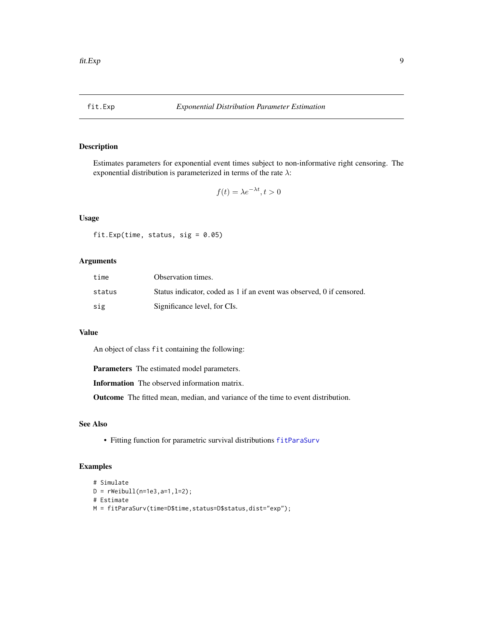<span id="page-8-1"></span><span id="page-8-0"></span>

Estimates parameters for exponential event times subject to non-informative right censoring. The exponential distribution is parameterized in terms of the rate  $\lambda$ :

$$
f(t) = \lambda e^{-\lambda t}, t > 0
$$

### Usage

fit.Exp(time, status, sig =  $0.05$ )

#### Arguments

| time   | Observation times.                                                    |
|--------|-----------------------------------------------------------------------|
| status | Status indicator, coded as 1 if an event was observed, 0 if censored. |
| sig    | Significance level, for CIs.                                          |

#### Value

An object of class fit containing the following:

Parameters The estimated model parameters.

Information The observed information matrix.

Outcome The fitted mean, median, and variance of the time to event distribution.

### See Also

• Fitting function for parametric survival distributions [fitParaSurv](#page-14-1)

```
# Simulate
D = rWeibull(n=1e3, a=1, l=2);# Estimate
M = fitParaSurv(time=D$time,status=D$status,dist="exp");
```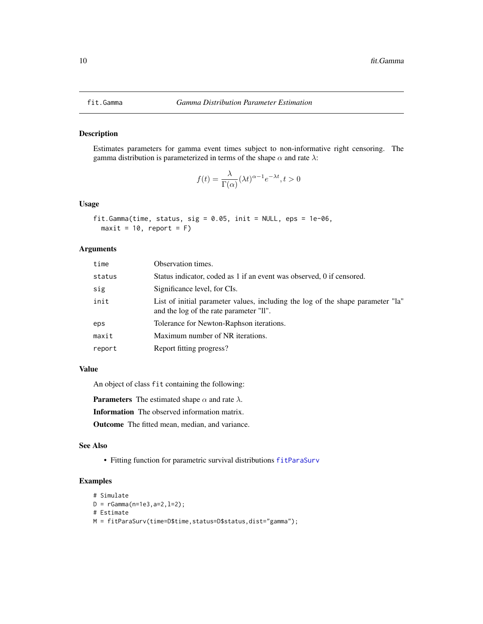<span id="page-9-1"></span><span id="page-9-0"></span>

Estimates parameters for gamma event times subject to non-informative right censoring. The gamma distribution is parameterized in terms of the shape  $\alpha$  and rate  $\lambda$ :

$$
f(t) = \frac{\lambda}{\Gamma(\alpha)} (\lambda t)^{\alpha - 1} e^{-\lambda t}, t > 0
$$

#### Usage

```
fit.Gamma(time, status, sig = 0.05, init = NULL, eps = 1e-06,
 maxit = 10, report = F)
```
#### Arguments

| time   | Observation times.                                                                                                         |
|--------|----------------------------------------------------------------------------------------------------------------------------|
| status | Status indicator, coded as 1 if an event was observed, 0 if censored.                                                      |
| sig    | Significance level, for CIs.                                                                                               |
| init   | List of initial parameter values, including the log of the shape parameter "la"<br>and the log of the rate parameter "ll". |
| eps    | Tolerance for Newton-Raphson iterations.                                                                                   |
| maxit  | Maximum number of NR iterations.                                                                                           |
| report | Report fitting progress?                                                                                                   |

#### Value

An object of class fit containing the following:

**Parameters** The estimated shape  $\alpha$  and rate  $\lambda$ . Information The observed information matrix. Outcome The fitted mean, median, and variance.

#### See Also

• Fitting function for parametric survival distributions [fitParaSurv](#page-14-1)

```
# Simulate
D = rGamma(n=1e3, a=2, 1=2);# Estimate
M = fitParaSurv(time=D$time,status=D$status,dist="gamma");
```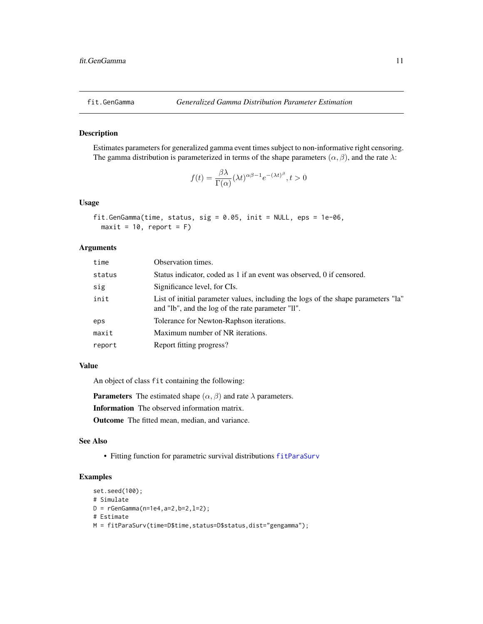<span id="page-10-1"></span><span id="page-10-0"></span>

Estimates parameters for generalized gamma event times subject to non-informative right censoring. The gamma distribution is parameterized in terms of the shape parameters  $(\alpha, \beta)$ , and the rate  $\lambda$ :

$$
f(t) = \frac{\beta \lambda}{\Gamma(\alpha)} (\lambda t)^{\alpha \beta - 1} e^{-(\lambda t)^{\beta}}, t > 0
$$

#### Usage

```
fit.GenGamma(time, status, sig = 0.05, init = NULL, eps = 1e-06,
 maxit = 10, report = F)
```
### Arguments

| time   | Observation times.                                                                                                                     |
|--------|----------------------------------------------------------------------------------------------------------------------------------------|
| status | Status indicator, coded as 1 if an event was observed, 0 if censored.                                                                  |
| sig    | Significance level, for CIs.                                                                                                           |
| init   | List of initial parameter values, including the logs of the shape parameters "la"<br>and "lb", and the log of the rate parameter "ll". |
| eps    | Tolerance for Newton-Raphson iterations.                                                                                               |
| maxit  | Maximum number of NR iterations.                                                                                                       |
| report | Report fitting progress?                                                                                                               |
|        |                                                                                                                                        |

#### Value

An object of class fit containing the following:

**Parameters** The estimated shape  $(\alpha, \beta)$  and rate  $\lambda$  parameters.

Information The observed information matrix.

Outcome The fitted mean, median, and variance.

#### See Also

• Fitting function for parametric survival distributions [fitParaSurv](#page-14-1)

```
set.seed(100);
# Simulate
D = rGenGamma(n=1e4,a=2,b=2,l=2);
# Estimate
M = fitParaSurv(time=D$time,status=D$status,dist="gengamma");
```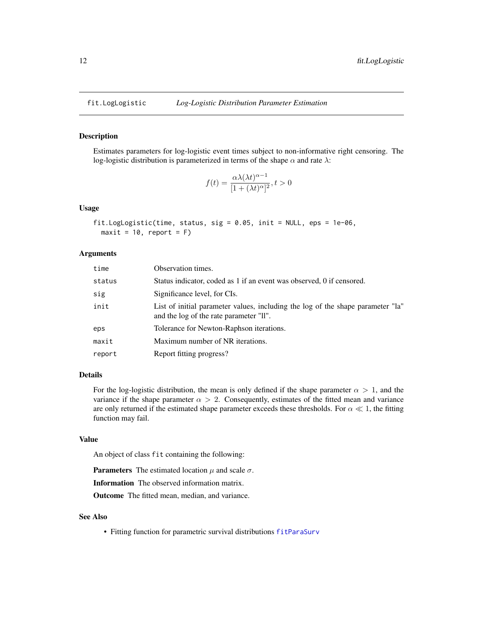<span id="page-11-1"></span><span id="page-11-0"></span>

Estimates parameters for log-logistic event times subject to non-informative right censoring. The log-logistic distribution is parameterized in terms of the shape  $\alpha$  and rate  $\lambda$ :

$$
f(t) = \frac{\alpha \lambda(\lambda t)^{\alpha - 1}}{[1 + (\lambda t)^{\alpha}]^2}, t > 0
$$

### Usage

```
fit.LogLogistic(time, status, sig = 0.05, init = NULL, eps = 1e-06,
 maxit = 10, report = F)
```
#### Arguments

| time   | Observation times.                                                                                                         |
|--------|----------------------------------------------------------------------------------------------------------------------------|
| status | Status indicator, coded as 1 if an event was observed, 0 if censored.                                                      |
| sig    | Significance level, for CIs.                                                                                               |
| init   | List of initial parameter values, including the log of the shape parameter "la"<br>and the log of the rate parameter "II". |
| eps    | Tolerance for Newton-Raphson iterations.                                                                                   |
| maxit  | Maximum number of NR iterations.                                                                                           |
| report | Report fitting progress?                                                                                                   |

#### Details

For the log-logistic distribution, the mean is only defined if the shape parameter  $\alpha > 1$ , and the variance if the shape parameter  $\alpha > 2$ . Consequently, estimates of the fitted mean and variance are only returned if the estimated shape parameter exceeds these thresholds. For  $\alpha \ll 1$ , the fitting function may fail.

#### Value

An object of class fit containing the following:

**Parameters** The estimated location  $\mu$  and scale  $\sigma$ .

Information The observed information matrix.

Outcome The fitted mean, median, and variance.

#### See Also

• Fitting function for parametric survival distributions [fitParaSurv](#page-14-1)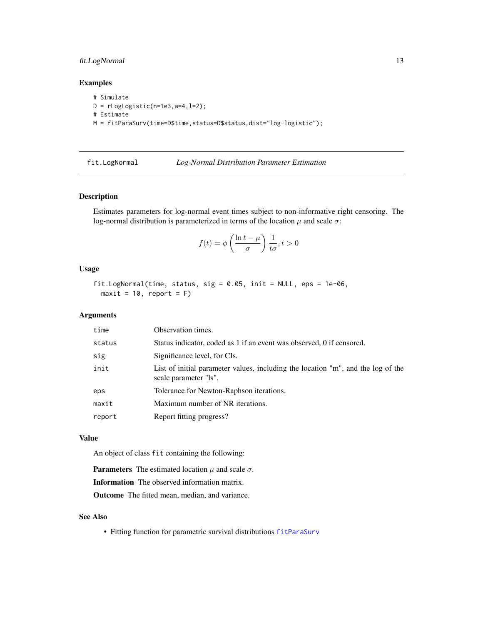### <span id="page-12-0"></span>fit.LogNormal 13

### Examples

# Simulate  $D = rLogLogistic(n=1e3, a=4, 1=2);$ # Estimate M = fitParaSurv(time=D\$time,status=D\$status,dist="log-logistic");

<span id="page-12-1"></span>

#### fit.LogNormal *Log-Normal Distribution Parameter Estimation*

#### Description

Estimates parameters for log-normal event times subject to non-informative right censoring. The log-normal distribution is parameterized in terms of the location  $\mu$  and scale  $\sigma$ :

$$
f(t) = \phi\left(\frac{\ln t - \mu}{\sigma}\right) \frac{1}{t\sigma}, t > 0
$$

### Usage

```
fit.LogNormal(time, status, sig = 0.05, init = NULL, eps = 1e-06,
 maxit = 10, report = F)
```
### Arguments

| time   | Observation times.                                                                                        |
|--------|-----------------------------------------------------------------------------------------------------------|
| status | Status indicator, coded as 1 if an event was observed, 0 if censored.                                     |
| sig    | Significance level, for CIs.                                                                              |
| init   | List of initial parameter values, including the location "m", and the log of the<br>scale parameter "ls". |
| eps    | Tolerance for Newton-Raphson iterations.                                                                  |
| maxit  | Maximum number of NR iterations.                                                                          |
| report | Report fitting progress?                                                                                  |
|        |                                                                                                           |

### Value

An object of class fit containing the following:

**Parameters** The estimated location  $\mu$  and scale  $\sigma$ .

Information The observed information matrix.

Outcome The fitted mean, median, and variance.

#### See Also

• Fitting function for parametric survival distributions [fitParaSurv](#page-14-1)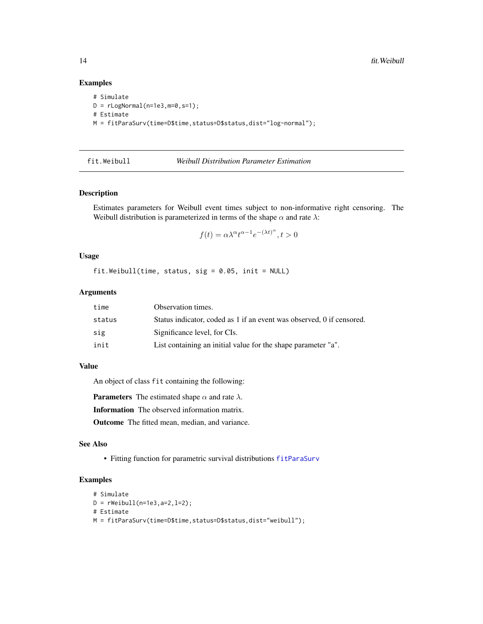### Examples

```
# Simulate
D = rLogNormal(n=1e3, m=0, s=1);# Estimate
M = fitParaSurv(time=D$time,status=D$status,dist="log-normal");
```
#### <span id="page-13-1"></span>fit.Weibull *Weibull Distribution Parameter Estimation*

#### Description

Estimates parameters for Weibull event times subject to non-informative right censoring. The Weibull distribution is parameterized in terms of the shape  $\alpha$  and rate  $\lambda$ :

$$
f(t)=\alpha\lambda^{\alpha}t^{\alpha-1}e^{-(\lambda t)^{\alpha}}, t>0
$$

#### Usage

fit.Weibull(time, status, sig = 0.05, init = NULL)

### Arguments

| time   | Observation times.                                                    |
|--------|-----------------------------------------------------------------------|
| status | Status indicator, coded as 1 if an event was observed, 0 if censored. |
| sig    | Significance level, for CIs.                                          |
| init   | List containing an initial value for the shape parameter "a".         |

#### Value

An object of class fit containing the following:

**Parameters** The estimated shape  $\alpha$  and rate  $\lambda$ .

Information The observed information matrix.

Outcome The fitted mean, median, and variance.

#### See Also

• Fitting function for parametric survival distributions [fitParaSurv](#page-14-1)

```
# Simulate
D = rWeibull(n=1e3, a=2, l=2);# Estimate
M = fitParaSurv(time=D$time,status=D$status,dist="weibull");
```
<span id="page-13-0"></span>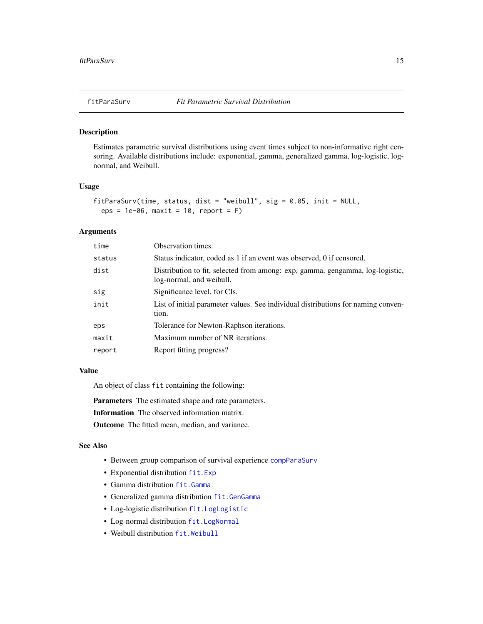<span id="page-14-1"></span><span id="page-14-0"></span>Estimates parametric survival distributions using event times subject to non-informative right censoring. Available distributions include: exponential, gamma, generalized gamma, log-logistic, lognormal, and Weibull.

#### Usage

```
fitParaSurv(time, status, dist = "weibull", sig = 0.05, init = NULL,
 eps = 1e-06, maxit = 10, report = F)
```
#### Arguments

| time   | Observation times.                                                                                        |
|--------|-----------------------------------------------------------------------------------------------------------|
| status | Status indicator, coded as 1 if an event was observed, 0 if censored.                                     |
| dist   | Distribution to fit, selected from among: exp, gamma, gengamma, log-logistic,<br>log-normal, and weibull. |
| sig    | Significance level, for CIs.                                                                              |
| init   | List of initial parameter values. See individual distributions for naming conven-<br>tion.                |
| eps    | Tolerance for Newton-Raphson iterations.                                                                  |
| maxit  | Maximum number of NR iterations.                                                                          |
| report | Report fitting progress?                                                                                  |
|        |                                                                                                           |

#### Value

An object of class fit containing the following:

Parameters The estimated shape and rate parameters.

Information The observed information matrix.

Outcome The fitted mean, median, and variance.

### See Also

- Between group comparison of survival experience [compParaSurv](#page-1-1)
- Exponential distribution [fit.Exp](#page-8-1)
- Gamma distribution [fit.Gamma](#page-9-1)
- Generalized gamma distribution [fit.GenGamma](#page-10-1)
- Log-logistic distribution [fit.LogLogistic](#page-11-1)
- Log-normal distribution [fit.LogNormal](#page-12-1)
- Weibull distribution [fit.Weibull](#page-13-1)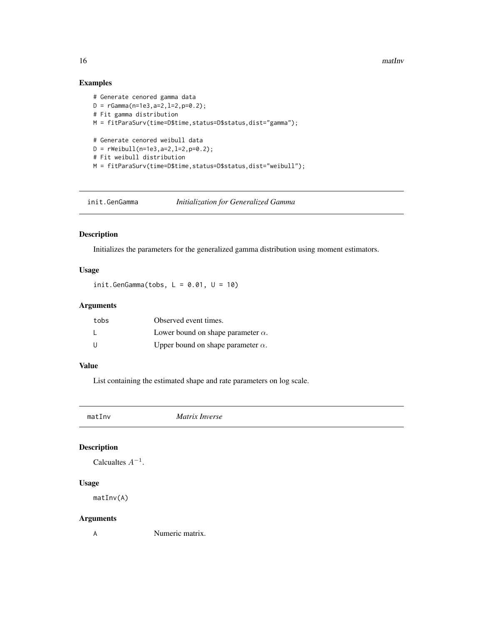<span id="page-15-0"></span>16 mathway mathway and the mathway mathway mathway mathway mathway mathway mathway mathway mathway mathway mathway mathway mathway mathway mathway mathway mathway mathway mathway mathway mathway mathway mathway mathway mat

### Examples

```
# Generate cenored gamma data
D = rGamma(n=1e3,a=2,l=2,p=0.2);
# Fit gamma distribution
M = fitParaSurv(time=D$time,status=D$status,dist="gamma");
# Generate cenored weibull data
D = rWeibull(n=1e3,a=2,l=2,p=0.2);
# Fit weibull distribution
M = fitParaSurv(time=D$time,status=D$status,dist="weibull");
```
init.GenGamma *Initialization for Generalized Gamma*

#### Description

Initializes the parameters for the generalized gamma distribution using moment estimators.

#### Usage

init.GenGamma(tobs,  $L = 0.01$ ,  $U = 10$ )

### Arguments

| tobs         | Observed event times.                     |
|--------------|-------------------------------------------|
| $\mathbf{I}$ | Lower bound on shape parameter $\alpha$ . |
| U            | Upper bound on shape parameter $\alpha$ . |

#### Value

List containing the estimated shape and rate parameters on log scale.

matInv *Matrix Inverse*

#### Description

Calcualtes  $A^{-1}$ .

### Usage

matInv(A)

#### Arguments

A Numeric matrix.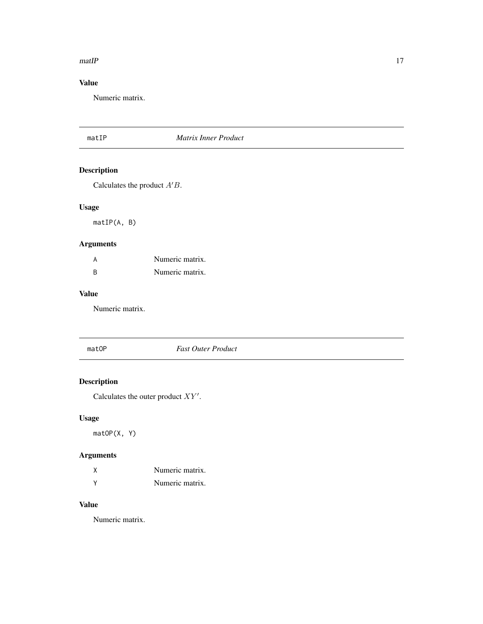#### <span id="page-16-0"></span> $m \times 17$

### Value

Numeric matrix.

#### matIP *Matrix Inner Product*

### Description

Calculates the product  $A'B$ .

### Usage

matIP(A, B)

### Arguments

| А | Numeric matrix. |
|---|-----------------|
| R | Numeric matrix. |

#### Value

Numeric matrix.

### matOP *Fast Outer Product*

### Description

Calculates the outer product  $XY'$ .

### Usage

matOP(X, Y)

### Arguments

| χ | Numeric matrix. |
|---|-----------------|
| v | Numeric matrix. |

### Value

Numeric matrix.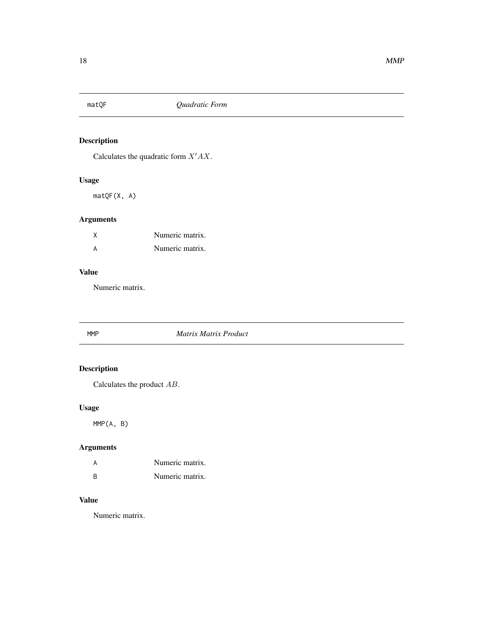<span id="page-17-0"></span>

Calculates the quadratic form  $X'AX$ .

### Usage

matQF(X, A)

### Arguments

| Numeric matrix. |
|-----------------|
| Numeric matrix. |

### Value

Numeric matrix.

### MMP *Matrix Matrix Product*

### Description

Calculates the product AB.

### Usage

MMP(A, B)

### Arguments

| A        | Numeric matrix. |
|----------|-----------------|
| <b>R</b> | Numeric matrix. |

### Value

Numeric matrix.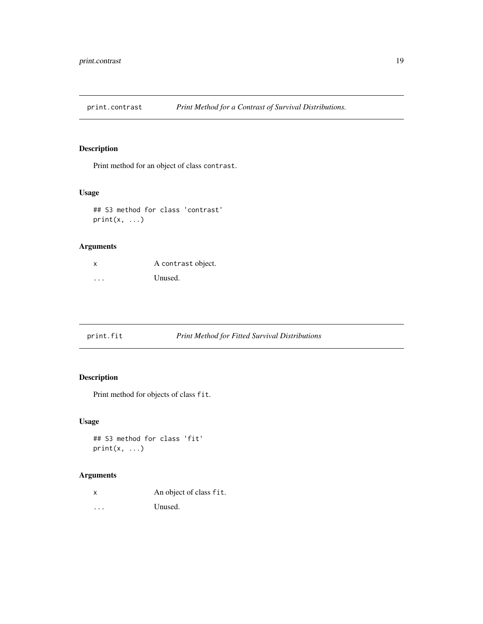<span id="page-18-0"></span>

Print method for an object of class contrast.

#### Usage

```
## S3 method for class 'contrast'
print(x, \ldots)
```
### Arguments

| x | A contrast object. |
|---|--------------------|
| . | Unused.            |

print.fit *Print Method for Fitted Survival Distributions*

### Description

Print method for objects of class fit.

### Usage

## S3 method for class 'fit'  $print(x, \ldots)$ 

#### Arguments

x An object of class fit. ... Unused.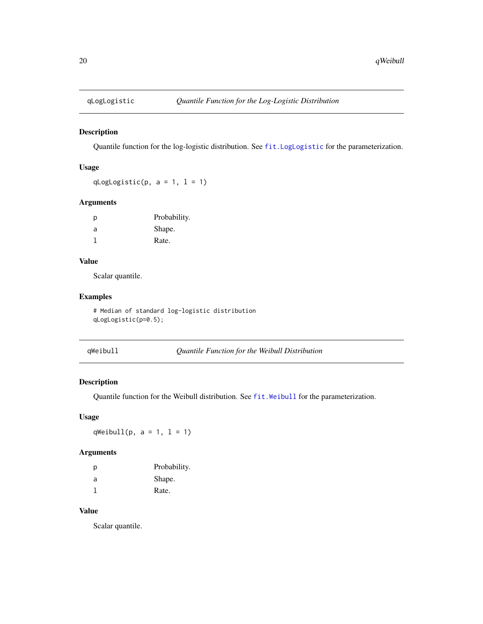<span id="page-19-0"></span>

Quantile function for the log-logistic distribution. See [fit.LogLogistic](#page-11-1) for the parameterization.

#### Usage

qLogLogistic(p,  $a = 1$ ,  $l = 1$ )

### Arguments

| р | Probability. |
|---|--------------|
| a | Shape.       |
|   | Rate.        |

#### Value

Scalar quantile.

#### Examples

# Median of standard log-logistic distribution qLogLogistic(p=0.5);

qWeibull *Quantile Function for the Weibull Distribution*

### Description

Quantile function for the Weibull distribution. See [fit.Weibull](#page-13-1) for the parameterization.

### Usage

qWeibull(p,  $a = 1$ ,  $l = 1$ )

#### Arguments

| D | Probability. |
|---|--------------|
| a | Shape.       |
|   | Rate.        |

### Value

Scalar quantile.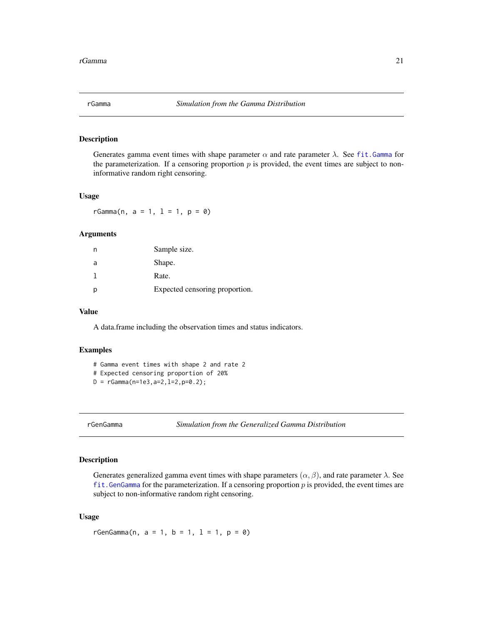<span id="page-20-0"></span>Generates gamma event times with shape parameter  $\alpha$  and rate parameter  $\lambda$ . See fit. Gamma for the parameterization. If a censoring proportion  $p$  is provided, the event times are subject to noninformative random right censoring.

#### Usage

 $rGamma(n, a = 1, 1 = 1, p = 0)$ 

#### Arguments

|   | Sample size.                   |
|---|--------------------------------|
| a | Shape.                         |
|   | Rate.                          |
| p | Expected censoring proportion. |

#### Value

A data.frame including the observation times and status indicators.

#### Examples

```
# Gamma event times with shape 2 and rate 2
```
# Expected censoring proportion of 20%

```
D = rGamma(n=1e3, a=2, 1=2, p=0.2);
```
rGenGamma *Simulation from the Generalized Gamma Distribution*

### Description

Generates generalized gamma event times with shape parameters  $(\alpha, \beta)$ , and rate parameter  $\lambda$ . See fit. GenGamma for the parameterization. If a censoring proportion  $p$  is provided, the event times are subject to non-informative random right censoring.

#### Usage

 $rGenGamma(n, a = 1, b = 1, l = 1, p = 0)$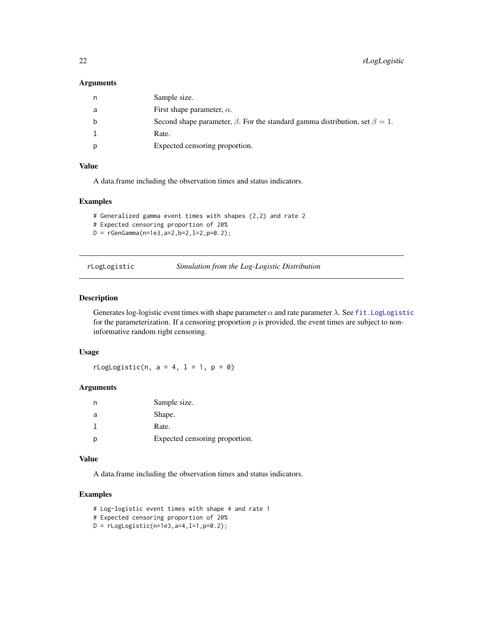#### <span id="page-21-0"></span>Arguments

| n | Sample size.                                                                             |
|---|------------------------------------------------------------------------------------------|
| a | First shape parameter, $\alpha$ .                                                        |
| b | Second shape parameter, $\beta$ . For the standard gamma distribution, set $\beta = 1$ . |
|   | Rate.                                                                                    |
| p | Expected censoring proportion.                                                           |

#### Value

A data.frame including the observation times and status indicators.

#### Examples

```
# Generalized gamma event times with shapes (2,2) and rate 2
# Expected censoring proportion of 20%
D = rGenGamma(n=1e3, a=2, b=2, l=2, p=0.2);
```
rLogLogistic *Simulation from the Log-Logistic Distribution*

### Description

Generates log-logistic event times with shape parameter  $\alpha$  and rate parameter  $\lambda$ . See fit. LogLogistic for the parameterization. If a censoring proportion  $p$  is provided, the event times are subject to noninformative random right censoring.

### Usage

rLogLogistic(n,  $a = 4$ ,  $l = 1$ ,  $p = 0$ )

#### Arguments

| n | Sample size.                   |
|---|--------------------------------|
| a | Shape.                         |
|   | Rate.                          |
|   | Expected censoring proportion. |

### Value

A data.frame including the observation times and status indicators.

```
# Log-logistic event times with shape 4 and rate 1
# Expected censoring proportion of 20%
D = rLogLogistic(n=1e3, a=4, l=1, p=0.2);
```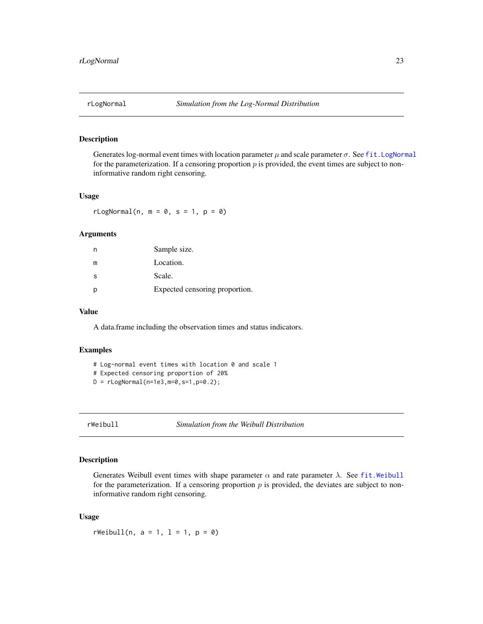<span id="page-22-0"></span>

Generates log-normal event times with location parameter  $\mu$  and scale parameter  $\sigma$ . See fit. LogNormal for the parameterization. If a censoring proportion  $p$  is provided, the event times are subject to noninformative random right censoring.

#### Usage

 $rLogNormal(n, m = 0, s = 1, p = 0)$ 

#### Arguments

| n  | Sample size.                   |
|----|--------------------------------|
| m  | Location.                      |
| -S | Scale.                         |
| p  | Expected censoring proportion. |

#### Value

A data.frame including the observation times and status indicators.

#### Examples

```
# Log-normal event times with location 0 and scale 1
# Expected censoring proportion of 20%
D = rLogNormal(n=1e3, m=0, s=1, p=0.2);
```
rWeibull *Simulation from the Weibull Distribution*

### Description

Generates Weibull event times with shape parameter  $\alpha$  and rate parameter  $\lambda$ . See [fit.Weibull](#page-13-1) for the parameterization. If a censoring proportion  $p$  is provided, the deviates are subject to noninformative random right censoring.

#### Usage

 $rWeibull(n, a = 1, l = 1, p = 0)$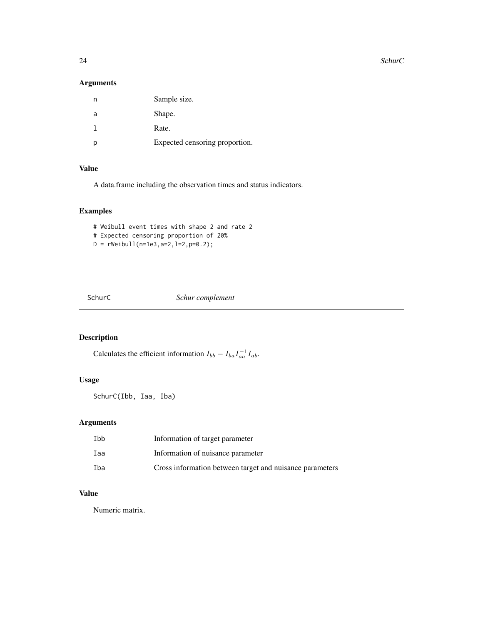<span id="page-23-0"></span>24 SchurC

### Arguments

|   | Sample size.                   |
|---|--------------------------------|
| a | Shape.                         |
|   | Rate.                          |
|   | Expected censoring proportion. |

#### Value

A data.frame including the observation times and status indicators.

### Examples

```
# Weibull event times with shape 2 and rate 2
# Expected censoring proportion of 20%
D = rWeibull(n=1e3,a=2,l=2,p=0.2);
```
SchurC *Schur complement*

### Description

Calculates the efficient information  $I_{bb} - I_{ba} I_{aa}^{-1} I_{ab}$ .

### Usage

SchurC(Ibb, Iaa, Iba)

### Arguments

| Ibb | Information of target parameter                          |
|-----|----------------------------------------------------------|
| Iaa | Information of nuisance parameter                        |
| Iba | Cross information between target and nuisance parameters |

### Value

Numeric matrix.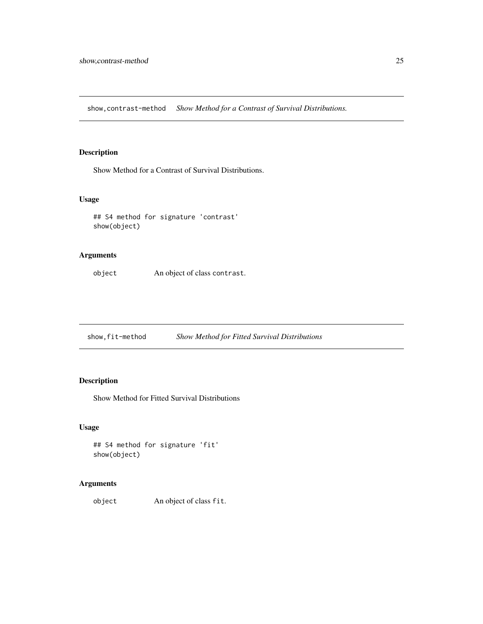<span id="page-24-0"></span>show,contrast-method *Show Method for a Contrast of Survival Distributions.*

### Description

Show Method for a Contrast of Survival Distributions.

#### Usage

## S4 method for signature 'contrast' show(object)

### Arguments

object An object of class contrast.

show,fit-method *Show Method for Fitted Survival Distributions*

### Description

Show Method for Fitted Survival Distributions

#### Usage

```
## S4 method for signature 'fit'
show(object)
```
### Arguments

object An object of class fit.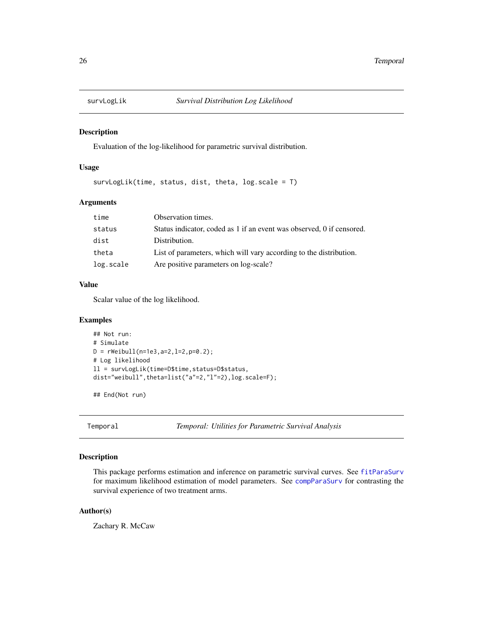<span id="page-25-0"></span>

Evaluation of the log-likelihood for parametric survival distribution.

#### Usage

survLogLik(time, status, dist, theta, log.scale = T)

#### Arguments

| time      | Observation times.                                                    |
|-----------|-----------------------------------------------------------------------|
| status    | Status indicator, coded as 1 if an event was observed, 0 if censored. |
| dist      | Distribution.                                                         |
| theta     | List of parameters, which will vary according to the distribution.    |
| log.scale | Are positive parameters on log-scale?                                 |

#### Value

Scalar value of the log likelihood.

#### Examples

```
## Not run:
# Simulate
D = rWeibull(n=1e3,a=2,l=2,p=0.2);
# Log likelihood
ll = survLogLik(time=D$time,status=D$status,
dist="weibull",theta=list("a"=2,"l"=2),log.scale=F);
```
## End(Not run)

Temporal *Temporal: Utilities for Parametric Survival Analysis*

#### Description

This package performs estimation and inference on parametric survival curves. See [fitParaSurv](#page-14-1) for maximum likelihood estimation of model parameters. See [compParaSurv](#page-1-1) for contrasting the survival experience of two treatment arms.

#### Author(s)

Zachary R. McCaw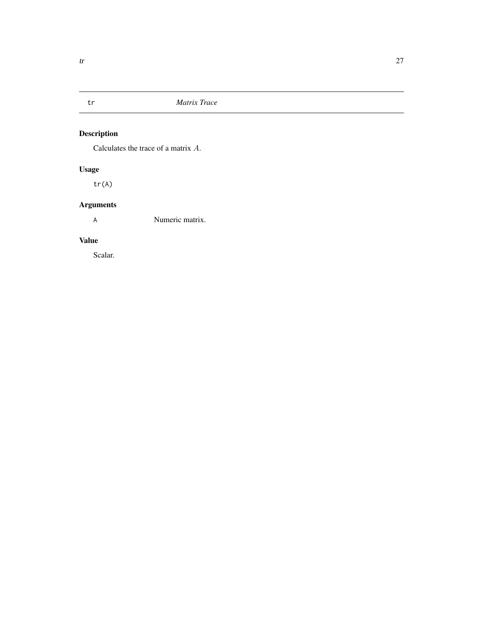<span id="page-26-0"></span>

Calculates the trace of a matrix A.

### Usage

tr(A)

### Arguments

A Numeric matrix.

### Value

Scalar.